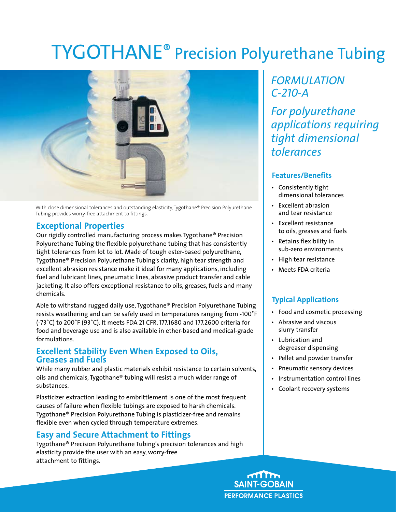# TYGOTHANE® Precision Polyurethane Tubing



With close dimensional tolerances and outstanding elasticity, Tygothane® Precision Polyurethane Tubing provides worry-free attachment to fittings.

### **Exceptional Properties**

Our rigidly controlled manufacturing process makes Tygothane® Precision Polyurethane Tubing the flexible polyurethane tubing that has consistently tight tolerances from lot to lot. Made of tough ester-based polyurethane, Tygothane® Precision Polyurethane Tubing's clarity, high tear strength and excellent abrasion resistance make it ideal for many applications, including fuel and lubricant lines, pneumatic lines, abrasive product transfer and cable jacketing. It also offers exceptional resistance to oils, greases, fuels and many chemicals.

Able to withstand rugged daily use, Tygothane® Precision Polyurethane Tubing resists weathering and can be safely used in temperatures ranging from -100˚F (-73˚C) to 200˚F (93˚C). It meets FDA 21 CFR, 177.1680 and 177.2600 criteria for food and beverage use and is also available in ether-based and medical-grade formulations.

#### **Excellent Stability Even When Exposed to Oils, Greases and Fuels**

While many rubber and plastic materials exhibit resistance to certain solvents, oils and chemicals, Tygothane® tubing will resist a much wider range of substances.

Plasticizer extraction leading to embrittlement is one of the most frequent causes of failure when flexible tubings are exposed to harsh chemicals. Tygothane® Precision Polyurethane Tubing is plasticizer-free and remains flexible even when cycled through temperature extremes.

## **Easy and Secure Attachment to Fittings**

Tygothane® Precision Polyurethane Tubing's precision tolerances and high elasticity provide the user with an easy, worry-free attachment to fittings.

# *FORMULATION C-210-A*

*For polyurethane applications requiring tight dimensional tolerances* 

#### **Features/Benefits**

- • Consistently tight dimensional tolerances
- **Excellent abrasion**  and tear resistance
- • Excellent resistance to oils, greases and fuels
- • Retains flexibility in sub-zero environments
- • High tear resistance
- • Meets FDA criteria

### **Typical Applications**

- Food and cosmetic processing
- • Abrasive and viscous slurry transfer
- • Lubrication and degreaser dispensing
- • Pellet and powder transfer
- Pneumatic sensory devices
- • Instrumentation control lines
- • Coolant recovery systems

**SAINT-GOBAIN PERFORMANCE PLASTICS**